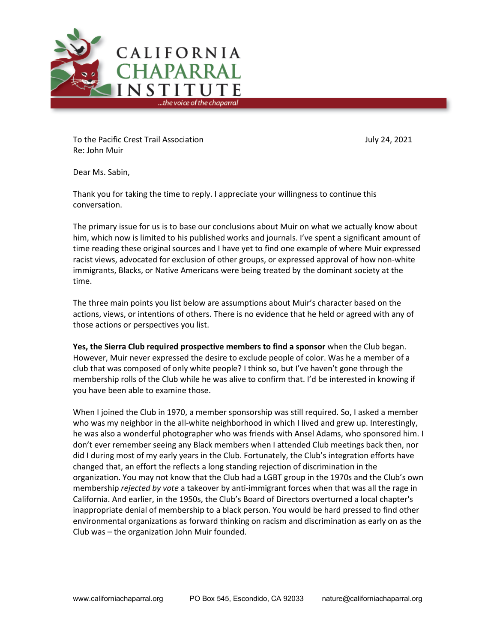

To the Pacific Crest Trail Association July 24, 2021 Re: John Muir

Dear Ms. Sabin,

Thank you for taking the time to reply. I appreciate your willingness to continue this conversation.

The primary issue for us is to base our conclusions about Muir on what we actually know about him, which now is limited to his published works and journals. I've spent a significant amount of time reading these original sources and I have yet to find one example of where Muir expressed racist views, advocated for exclusion of other groups, or expressed approval of how non-white immigrants, Blacks, or Native Americans were being treated by the dominant society at the time.

The three main points you list below are assumptions about Muir's character based on the actions, views, or intentions of others. There is no evidence that he held or agreed with any of those actions or perspectives you list.

**Yes, the Sierra Club required prospective members to find a sponsor** when the Club began. However, Muir never expressed the desire to exclude people of color. Was he a member of a club that was composed of only white people? I think so, but I've haven't gone through the membership rolls of the Club while he was alive to confirm that. I'd be interested in knowing if you have been able to examine those.

When I joined the Club in 1970, a member sponsorship was still required. So, I asked a member who was my neighbor in the all-white neighborhood in which I lived and grew up. Interestingly, he was also a wonderful photographer who was friends with Ansel Adams, who sponsored him. I don't ever remember seeing any Black members when I attended Club meetings back then, nor did I during most of my early years in the Club. Fortunately, the Club's integration efforts have changed that, an effort the reflects a long standing rejection of discrimination in the organization. You may not know that the Club had a LGBT group in the 1970s and the Club's own membership *rejected by vote* a takeover by anti-immigrant forces when that was all the rage in California. And earlier, in the 1950s, the Club's Board of Directors overturned a local chapter's inappropriate denial of membership to a black person. You would be hard pressed to find other environmental organizations as forward thinking on racism and discrimination as early on as the Club was – the organization John Muir founded.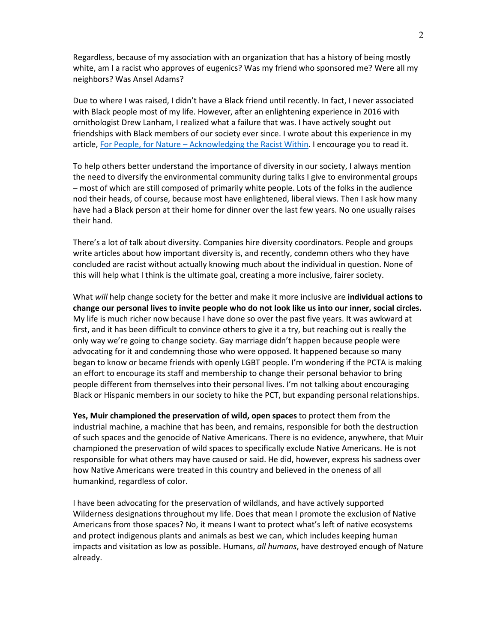Regardless, because of my association with an organization that has a history of being mostly white, am I a racist who approves of eugenics? Was my friend who sponsored me? Were all my neighbors? Was Ansel Adams?

Due to where I was raised, I didn't have a Black friend until recently. In fact, I never associated with Black people most of my life. However, after an enlightening experience in 2016 with ornithologist Drew Lanham, I realized what a failure that was. I have actively sought out friendships with Black members of our society ever since. I wrote about this experience in my article, For People, for Nature – [Acknowledging the Racist Within.](https://californiachaparralblog.wordpress.com/2020/06/01/for-people-for-nature-acknowledging-the-racist-within/) I encourage you to read it.

To help others better understand the importance of diversity in our society, I always mention the need to diversify the environmental community during talks I give to environmental groups – most of which are still composed of primarily white people. Lots of the folks in the audience nod their heads, of course, because most have enlightened, liberal views. Then I ask how many have had a Black person at their home for dinner over the last few years. No one usually raises their hand.

There's a lot of talk about diversity. Companies hire diversity coordinators. People and groups write articles about how important diversity is, and recently, condemn others who they have concluded are racist without actually knowing much about the individual in question. None of this will help what I think is the ultimate goal, creating a more inclusive, fairer society.

What *will* help change society for the better and make it more inclusive are **individual actions to change our personal lives to invite people who do not look like us into our inner, social circles.** My life is much richer now because I have done so over the past five years. It was awkward at first, and it has been difficult to convince others to give it a try, but reaching out is really the only way we're going to change society. Gay marriage didn't happen because people were advocating for it and condemning those who were opposed. It happened because so many began to know or became friends with openly LGBT people. I'm wondering if the PCTA is making an effort to encourage its staff and membership to change their personal behavior to bring people different from themselves into their personal lives. I'm not talking about encouraging Black or Hispanic members in our society to hike the PCT, but expanding personal relationships.

**Yes, Muir championed the preservation of wild, open spaces** to protect them from the industrial machine, a machine that has been, and remains, responsible for both the destruction of such spaces and the genocide of Native Americans. There is no evidence, anywhere, that Muir championed the preservation of wild spaces to specifically exclude Native Americans. He is not responsible for what others may have caused or said. He did, however, express his sadness over how Native Americans were treated in this country and believed in the oneness of all humankind, regardless of color.

I have been advocating for the preservation of wildlands, and have actively supported Wilderness designations throughout my life. Does that mean I promote the exclusion of Native Americans from those spaces? No, it means I want to protect what's left of native ecosystems and protect indigenous plants and animals as best we can, which includes keeping human impacts and visitation as low as possible. Humans, *all humans*, have destroyed enough of Nature already.